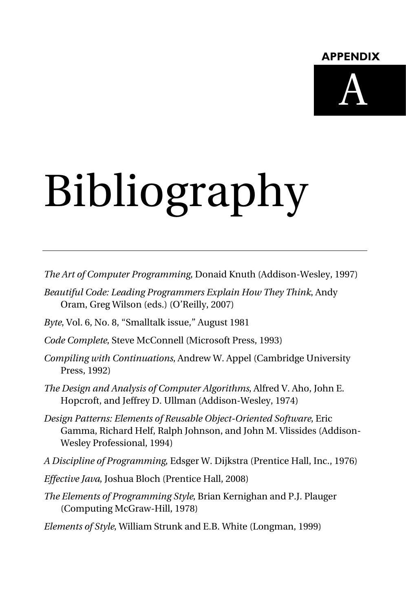#### **APPENDIX**



# Bibliography

*The Art of Computer Programming*, Donaid Knuth (Addison-Wesley, 1997)

- *Beautiful Code: Leading Programmers Explain How They Think*, Andy Oram, Greg Wilson (eds.) (O'Reilly, 2007)
- *Byte*, Vol. 6, No. 8, "Smalltalk issue," August 1981
- *Code Complete*, Steve McConnell (Microsoft Press, 1993)
- *Compiling with Continuations*, Andrew W. Appel (Cambridge University Press, 1992)
- *The Design and Analysis of Computer Algorithms*, Alfred V. Aho, John E. Hopcroft, and Jeffrey D. Ullman (Addison-Wesley, 1974)
- *Design Patterns: Elements of Reusable Object-Oriented Software*, Eric Gamma, Richard Helf, Ralph Johnson, and John M. Vlissides (Addison-Wesley Professional, 1994)
- *A Discipline of Programming*, Edsger W. Dijkstra (Prentice Hall, Inc., 1976)
- *Effective Java*, Joshua Bloch (Prentice Hall, 2008)
- *The Elements of Programming Style*, Brian Kernighan and P.J. Plauger (Computing McGraw-Hill, 1978)

*Elements of Style*, William Strunk and E.B. White (Longman, 1999)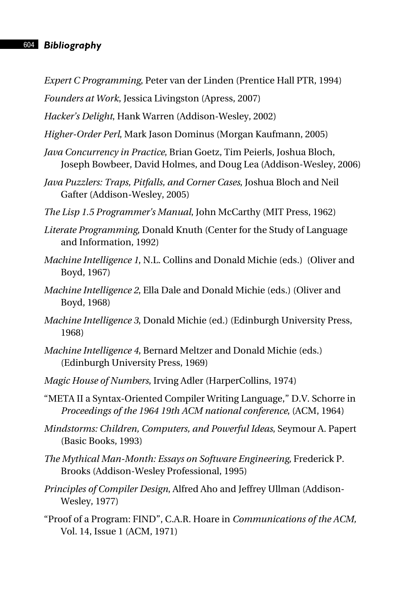### 604 *Bibliography*

*Expert C Programming*, Peter van der Linden (Prentice Hall PTR, 1994)

*Founders at Work*, Jessica Livingston (Apress, 2007)

*Hacker's Delight*, Hank Warren (Addison-Wesley, 2002)

- *Higher-Order Perl*, Mark Jason Dominus (Morgan Kaufmann, 2005)
- *Java Concurrency in Practice*, Brian Goetz, Tim Peierls, Joshua Bloch, Joseph Bowbeer, David Holmes, and Doug Lea (Addison-Wesley, 2006)
- *Java Puzzlers: Traps, Pitfalls, and Corner Cases*, Joshua Bloch and Neil Gafter (Addison-Wesley, 2005)
- *The Lisp 1.5 Programmer's Manual*, John McCarthy (MIT Press, 1962)
- *Literate Programming*, Donald Knuth (Center for the Study of Language and Information, 1992)
- *Machine Intelligence 1*, N.L. Collins and Donald Michie (eds.) (Oliver and Boyd, 1967)
- *Machine Intelligence 2*, Ella Dale and Donald Michie (eds.) (Oliver and Boyd, 1968)
- *Machine Intelligence 3*, Donald Michie (ed.) (Edinburgh University Press, 1968)
- *Machine Intelligence 4*, Bernard Meltzer and Donald Michie (eds.) (Edinburgh University Press, 1969)
- *Magic House of Numbers*, Irving Adler (HarperCollins, 1974)
- "META II a Syntax-Oriented Compiler Writing Language," D.V. Schorre in *Proceedings of the 1964 19th ACM national conference*, (ACM, 1964)
- *Mindstorms: Children, Computers, and Powerful Ideas*, Seymour A. Papert (Basic Books, 1993)
- *The Mythical Man-Month: Essays on Software Engineering*, Frederick P. Brooks (Addison-Wesley Professional, 1995)
- *Principles of Compiler Design*, Alfred Aho and Jeffrey Ullman (Addison-Wesley, 1977)
- "Proof of a Program: FIND", C.A.R. Hoare in *Communications of the ACM,* Vol. 14, Issue 1 (ACM, 1971)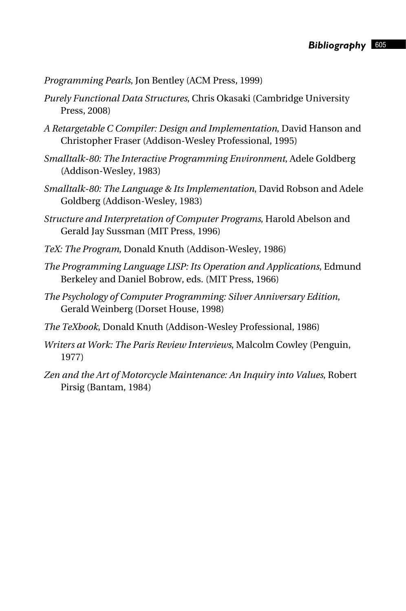*Programming Pearls*, Jon Bentley (ACM Press, 1999)

- *Purely Functional Data Structures*, Chris Okasaki (Cambridge University Press, 2008)
- *A Retargetable C Compiler: Design and Implementation*, David Hanson and Christopher Fraser (Addison-Wesley Professional, 1995)
- *Smalltalk-80: The Interactive Programming Environment*, Adele Goldberg (Addison-Wesley, 1983)
- *Smalltalk-80: The Language & Its Implementation*, David Robson and Adele Goldberg (Addison-Wesley, 1983)
- *Structure and Interpretation of Computer Programs*, Harold Abelson and Gerald Jay Sussman (MIT Press, 1996)
- *TeX: The Program*, Donald Knuth (Addison-Wesley, 1986)
- *The Programming Language LISP: Its Operation and Applications*, Edmund Berkeley and Daniel Bobrow, eds. (MIT Press, 1966)
- *The Psychology of Computer Programming: Silver Anniversary Edition*, Gerald Weinberg (Dorset House, 1998)
- *The TeXbook*, Donald Knuth (Addison-Wesley Professional, 1986)
- *Writers at Work: The Paris Review Interviews*, Malcolm Cowley (Penguin, 1977)
- *Zen and the Art of Motorcycle Maintenance: An Inquiry into Values*, Robert Pirsig (Bantam, 1984)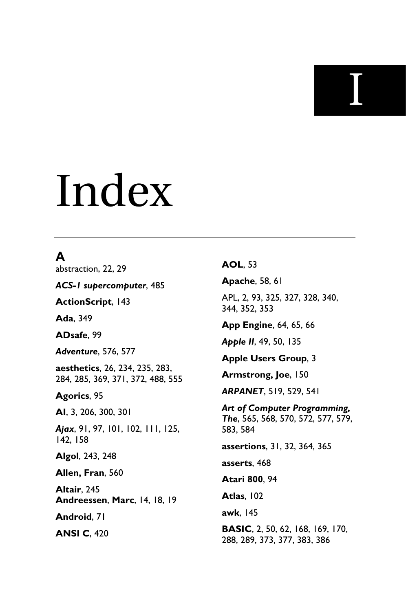**I** 

## Index

## **A**

abstraction, 22, 29

*ACS-1 supercomputer*, 485

**ActionScript**, 143

**Ada**, 349

**ADsafe**, 99

*Adventure*, 576, 577

**aesthetics**, 26, 234, 235, 283, 284, 285, 369, 371, 372, 488, 555

**Agorics**, 95

**AI**, 3, 206, 300, 301

*Ajax*, 91, 97, 101, 102, 111, 125, 142, 158

**Algol**, 243, 248

**Allen, Fran**, 560

**Altair**, 245 **Andreessen**, **Marc**, 14, 18, 19

**Android**, 71

**ANSI C**, 420

#### **AOL**, 53

**Apache**, 58, 61

APL, 2, 93, 325, 327, 328, 340, 344, 352, 353

**App Engine**, 64, 65, 66

*Apple II*, 49, 50, 135

**Apple Users Group**, 3

**Armstrong, Joe**, 150

*ARPANET*, 519, 529, 541

*Art of Computer Programming, The*, 565, 568, 570, 572, 577, 579, 583, 584

**assertions**, 31, 32, 364, 365

**asserts**, 468

**Atari 800**, 94

**Atlas**, 102

**awk**, 145

**BASIC**, 2, 50, 62, 168, 169, 170, 288, 289, 373, 377, 383, 386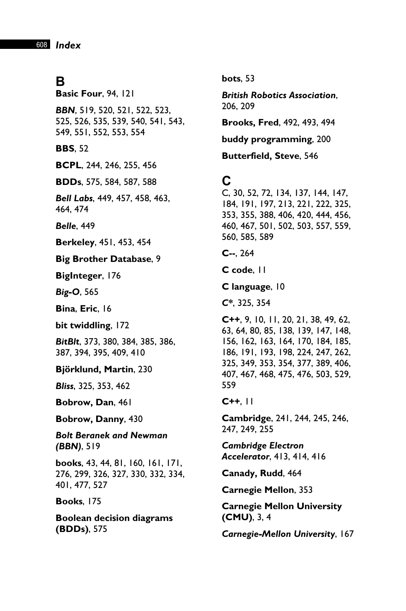## **B**

**Basic Four**, 94, 121

*BBN*, 519, 520, 521, 522, 523, 525, 526, 535, 539, 540, 541, 543, 549, 551, 552, 553, 554

**BBS**, 52

**BCPL**, 244, 246, 255, 456

**BDDs**, 575, 584, 587, 588

*Bell Labs*, 449, 457, 458, 463, 464, 474

*Belle*, 449

**Berkeley**, 451, 453, 454

#### **Big Brother Database**, 9

**BigInteger**, 176

*Big-O*, 565

**Bina**, **Eric**, 16

**bit twiddling**, 172

*BitBlt*, 373, 380, 384, 385, 386, 387, 394, 395, 409, 410

**Björklund, Martin**, 230

*Bliss*, 325, 353, 462

**Bobrow, Dan**, 461

**Bobrow, Danny**, 430

*Bolt Beranek and Newman (BBN)*, 519

**books**, 43, 44, 81, 160, 161, 171, 276, 299, 326, 327, 330, 332, 334, 401, 477, 527

**Books**, 175

**Boolean decision diagrams (BDDs)**, 575

**bots**, 53

*British Robotics Association*, 206, 209

**Brooks, Fred**, 492, 493, 494

**buddy programming**, 200

**Butterfield, Steve**, 546

## **C**

C, 30, 52, 72, 134, 137, 144, 147, 184, 191, 197, 213, 221, 222, 325, 353, 355, 388, 406, 420, 444, 456, 460, 467, 501, 502, 503, 557, 559, 560, 585, 589

**C--**, 264

**C code**, 11

**C language**, 10

*C\**, 325, 354

**C++**, 9, 10, 11, 20, 21, 38, 49, 62, 63, 64, 80, 85, 138, 139, 147, 148, 156, 162, 163, 164, 170, 184, 185, 186, 191, 193, 198, 224, 247, 262, 325, 349, 353, 354, 377, 389, 406, 407, 467, 468, 475, 476, 503, 529, 559

#### **C++**, 11

**Cambridge**, 241, 244, 245, 246, 247, 249, 255

*Cambridge Electron Accelerator*, 413, 414, 416

**Canady, Rudd**, 464

**Carnegie Mellon**, 353

**Carnegie Mellon University (CMU)**, 3, 4

*Carnegie-Mellon University*, 167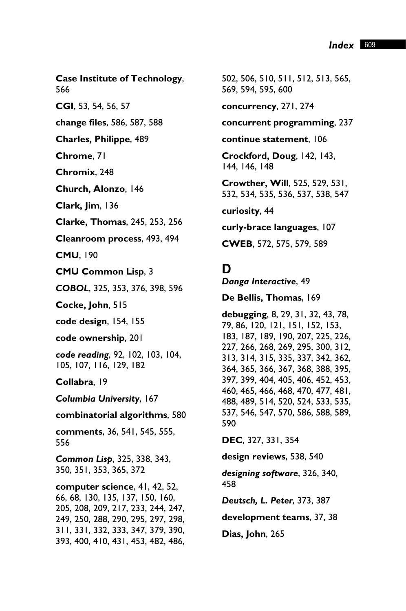**Case Institute of Technology**, 566

**CGI**, 53, 54, 56, 57

**change files**, 586, 587, 588

**Charles, Philippe**, 489

**Chrome**, 71

**Chromix**, 248

**Church, Alonzo**, 146

**Clark, Jim**, 136

**Clarke, Thomas**, 245, 253, 256

**Cleanroom process**, 493, 494

**CMU**, 190

**CMU Common Lisp**, 3

*COBOL*, 325, 353, 376, 398, 596

**Cocke, John**, 515

**code design**, 154, 155

**code ownership**, 201

*code reading*, 92, 102, 103, 104, 105, 107, 116, 129, 182

**Collabra**, 19

*Columbia University*, 167

**combinatorial algorithms**, 580

**comments**, 36, 541, 545, 555, 556

*Common Lisp*, 325, 338, 343, 350, 351, 353, 365, 372

**computer science**, 41, 42, 52, 66, 68, 130, 135, 137, 150, 160, 205, 208, 209, 217, 233, 244, 247, 249, 250, 288, 290, 295, 297, 298, 311, 331, 332, 333, 347, 379, 390, 393, 400, 410, 431, 453, 482, 486,

502, 506, 510, 511, 512, 513, 565, 569, 594, 595, 600

**concurrency**, 271, 274

**concurrent programming**, 237

**continue statement**, 106

**Crockford, Doug**, 142, 143, 144, 146, 148

**Crowther, Will**, 525, 529, 531, 532, 534, 535, 536, 537, 538, 547

**curiosity**, 44

**curly-brace languages**, 107

**CWEB**, 572, 575, 579, 589

#### **D**

*Danga Interactive*, 49

**De Bellis, Thomas**, 169

**debugging**, 8, 29, 31, 32, 43, 78, 79, 86, 120, 121, 151, 152, 153, 183, 187, 189, 190, 207, 225, 226, 227, 266, 268, 269, 295, 300, 312, 313, 314, 315, 335, 337, 342, 362, 364, 365, 366, 367, 368, 388, 395, 397, 399, 404, 405, 406, 452, 453, 460, 465, 466, 468, 470, 477, 481, 488, 489, 514, 520, 524, 533, 535, 537, 546, 547, 570, 586, 588, 589, 590

**DEC**, 327, 331, 354

**design reviews**, 538, 540

*designing software*, 326, 340, 458

*Deutsch, L. Peter*, 373, 387

**development teams**, 37, 38

**Dias, John**, 265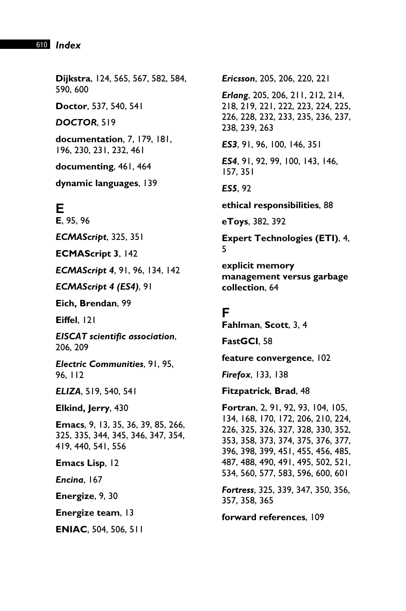#### 610 *Index*

**Dijkstra**, 124, 565, 567, 582, 584, 590, 600 **Doctor**, 537, 540, 541 *DOCTOR*, 519 **documentation**, 7, 179, 181, 196, 230, 231, 232, 461

**documenting**, 461, 464

**dynamic languages**, 139

## **E**

**E**, 95, 96 *ECMAScript*, 325, 351 **ECMAScript 3**, 142 *ECMAScript 4*, 91, 96, 134, 142 *ECMAScript 4 (ES4)*, 91 **Eich, Brendan**, 99 **Eiffel**, 121 *EISCAT scientific association*, 206, 209 *Electric Communities*, 91, 95, 96, 112

*ELIZA*, 519, 540, 541

**Elkind, Jerry**, 430

**Emacs**, 9, 13, 35, 36, 39, 85, 266, 325, 335, 344, 345, 346, 347, 354, 419, 440, 541, 556

**Emacs Lisp**, 12

*Encina*, 167

**Energize**, 9, 30

**Energize team**, 13

**ENIAC**, 504, 506, 511

*Ericsson*, 205, 206, 220, 221 *Erlang*, 205, 206, 211, 212, 214, 218, 219, 221, 222, 223, 224, 225, 226, 228, 232, 233, 235, 236, 237, 238, 239, 263 *ES3*, 91, 96, 100, 146, 351 *ES4*, 91, 92, 99, 100, 143, 146, 157, 351 *ES5*, 92 **ethical responsibilities**, 88 **eToys**, 382, 392 **Expert Technologies (ETI)**, 4,

**explicit memory management versus garbage collection**, 64

## **F**

5

**Fahlman**, **Scott**, 3, 4 **FastGCI**, 58 **feature convergence**, 102 *Firefox*, 133, 138 **Fitzpatrick**, **Brad**, 48 **Fortran**, 2, 91, 92, 93, 104, 105, 134, 168, 170, 172, 206, 210, 224, 226, 325, 326, 327, 328, 330, 352, 353, 358, 373, 374, 375, 376, 377, 396, 398, 399, 451, 455, 456, 485, 487, 488, 490, 491, 495, 502, 521, 534, 560, 577, 583, 596, 600, 601 *Fortress*, 325, 339, 347, 350, 356, 357, 358, 365

**forward references**, 109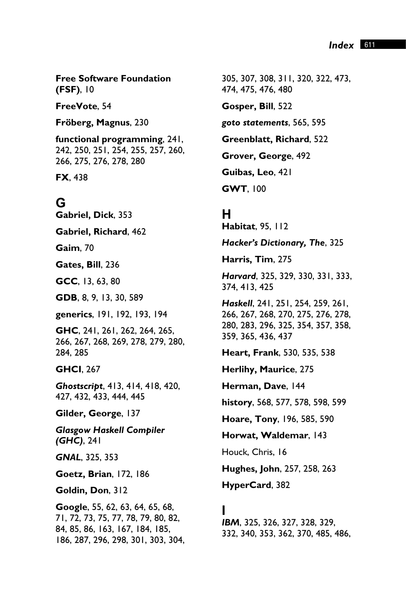**Free Software Foundation (FSF)**, 10

**FreeVote**, 54

**Fröberg, Magnus**, 230

**functional programming**, 241, 242, 250, 251, 254, 255, 257, 260, 266, 275, 276, 278, 280

**FX**, 438

## **G**

**Gabriel, Dick**, 353

**Gabriel, Richard**, 462

**Gaim**, 70

**Gates, Bill**, 236

**GCC**, 13, 63, 80

**GDB**, 8, 9, 13, 30, 589

**generics**, 191, 192, 193, 194

**GHC**, 241, 261, 262, 264, 265, 266, 267, 268, 269, 278, 279, 280, 284, 285

**GHCI**, 267

*Ghostscript*, 413, 414, 418, 420, 427, 432, 433, 444, 445

**Gilder, George**, 137

*Glasgow Haskell Compiler (GHC)*, 241

*GNAL*, 325, 353

**Goetz, Brian**, 172, 186

**Goldin, Don**, 312

**Google**, 55, 62, 63, 64, 65, 68, 71, 72, 73, 75, 77, 78, 79, 80, 82, 84, 85, 86, 163, 167, 184, 185, 186, 287, 296, 298, 301, 303, 304,

305, 307, 308, 311, 320, 322, 473, 474, 475, 476, 480

**Gosper, Bill**, 522

*goto statements*, 565, 595

**Greenblatt, Richard**, 522

**Grover, George**, 492

**Guibas, Leo**, 421

**GWT**, 100

#### **H**

**Habitat**, 95, 112

*Hacker's Dictionary, The*, 325

**Harris, Tim**, 275

*Harvard*, 325, 329, 330, 331, 333, 374, 413, 425

*Haskell*, 241, 251, 254, 259, 261, 266, 267, 268, 270, 275, 276, 278, 280, 283, 296, 325, 354, 357, 358, 359, 365, 436, 437

**Heart, Frank**, 530, 535, 538

**Herlihy, Maurice**, 275

**Herman, Dave**, 144

**history**, 568, 577, 578, 598, 599

**Hoare, Tony**, 196, 585, 590

**Horwat, Waldemar**, 143

Houck, Chris, 16

**Hughes, John**, 257, 258, 263

**HyperCard**, 382

#### **I**

*IBM*, 325, 326, 327, 328, 329, 332, 340, 353, 362, 370, 485, 486,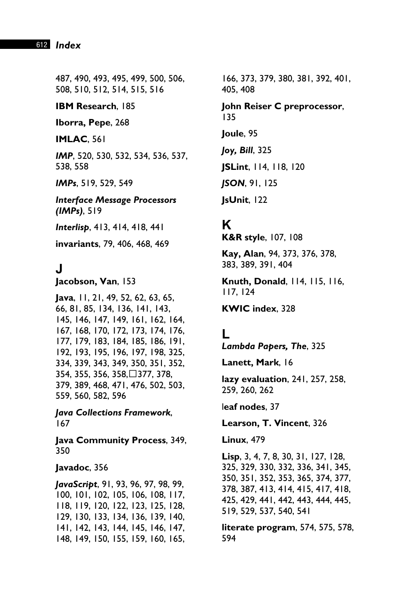#### 612 *Index*

487, 490, 493, 495, 499, 500, 506, 508, 510, 512, 514, 515, 516

**IBM Research**, 185

**Iborra, Pepe**, 268

**IMLAC**, 561

*IMP*, 520, 530, 532, 534, 536, 537, 538, 558

*IMPs*, 519, 529, 549

*Interface Message Processors (IMPs)*, 519

*Interlisp*, 413, 414, 418, 441

**invariants**, 79, 406, 468, 469

**J**

**Jacobson, Van**, 153

**Java**, 11, 21, 49, 52, 62, 63, 65, 66, 81, 85, 134, 136, 141, 143, 145, 146, 147, 149, 161, 162, 164, 167, 168, 170, 172, 173, 174, 176, 177, 179, 183, 184, 185, 186, 191, 192, 193, 195, 196, 197, 198, 325, 334, 339, 343, 349, 350, 351, 352, 354, 355, 356, 358,377, 378, 379, 389, 468, 471, 476, 502, 503, 559, 560, 582, 596

*Java Collections Framework*, 167

**Java Community Process**, 349, 350

**Javadoc**, 356

*JavaScript*, 91, 93, 96, 97, 98, 99, 100, 101, 102, 105, 106, 108, 117, 118, 119, 120, 122, 123, 125, 128, 129, 130, 133, 134, 136, 139, 140, 141, 142, 143, 144, 145, 146, 147, 148, 149, 150, 155, 159, 160, 165, 166, 373, 379, 380, 381, 392, 401, 405, 408

**John Reiser C preprocessor**, 135

**Joule**, 95

*Joy, Bill*, 325

**JSLint**, 114, 118, 120

*JSON*, 91, 125

**JsUnit**, 122

## **K**

**K&R style**, 107, 108

**Kay, Alan**, 94, 373, 376, 378, 383, 389, 391, 404

**Knuth, Donald**, 114, 115, 116, 117, 124

**KWIC index**, 328

## **L**

*Lambda Papers, The*, 325

**Lanett, Mark**, 16

**lazy evaluation**, 241, 257, 258, 259, 260, 262

l**eaf nodes**, 37

**Learson, T. Vincent**, 326

**Linux**, 479

**Lisp**, 3, 4, 7, 8, 30, 31, 127, 128, 325, 329, 330, 332, 336, 341, 345, 350, 351, 352, 353, 365, 374, 377, 378, 387, 413, 414, 415, 417, 418, 425, 429, 441, 442, 443, 444, 445, 519, 529, 537, 540, 541

**literate program**, 574, 575, 578, 594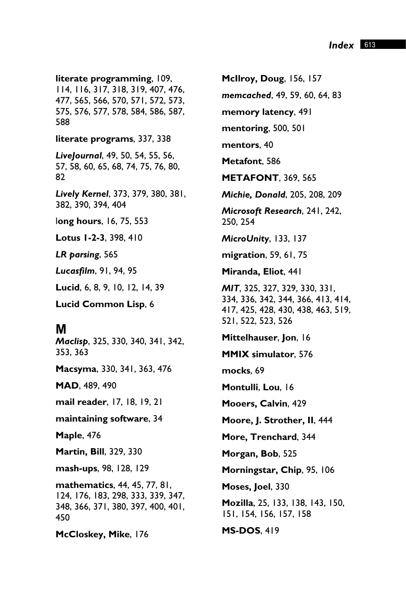**literate programming**, 109, 114, 116, 317, 318, 319, 407, 476, 477, 565, 566, 570, 571, 572, 573, 575, 576, 577, 578, 584, 586, 587, 588

**literate programs**, 337, 338

*LiveJournal*, 49, 50, 54, 55, 56, 57, 58, 60, 65, 68, 74, 75, 76, 80, 82

*Lively Kernel*, 373, 379, 380, 381, 382, 390, 394, 404

l**ong hours**, 16, 75, 553

**Lotus 1-2-3**, 398, 410

*LR parsing*, 565

*Lucasfilm*, 91, 94, 95

**Lucid**, 6, 8, 9, 10, 12, 14, 39

**Lucid Common Lisp**, 6

#### **M**

*Maclisp*, 325, 330, 340, 341, 342, 353, 363

**Macsyma**, 330, 341, 363, 476

**MAD**, 489, 490

**mail reader**, 17, 18, 19, 21

**maintaining software**, 34

**Maple**, 476

**Martin, Bill**, 329, 330

**mash-ups**, 98, 128, 129

**mathematics**, 44, 45, 77, 81, 124, 176, 183, 298, 333, 339, 347, 348, 366, 371, 380, 397, 400, 401, 450

**McCloskey, Mike**, 176

**McIlroy, Doug**, 156, 157 *memcached*, 49, 59, 60, 64, 83 **memory latency**, 491 **mentoring**, 500, 501 **mentors**, 40 **Metafont**, 586 **METAFONT**, 369, 565 *Michie, Donald*, 205, 208, 209 *Microsoft Research*, 241, 242, 250, 254 *MicroUnity*, 133, 137 **migration**, 59, 61, 75 **Miranda, Eliot**, 441 *MIT*, 325, 327, 329, 330, 331, 334, 336, 342, 344, 366, 413, 414, 417, 425, 428, 430, 438, 463, 519, 521, 522, 523, 526 **Mittelhauser**, **Jon**, 16 **MMIX simulator**, 576 **mocks**, 69 **Montulli**, **Lou**, 16 **Mooers, Calvin**, 429 **Moore, J. Strother, II**, 444 **More, Trenchard**, 344 **Morgan, Bob**, 525 **Morningstar, Chip**, 95, 106 **Moses, Joel**, 330 **Mozilla**, 25, 133, 138, 143, 150, 151, 154, 156, 157, 158 **MS-DOS**, 419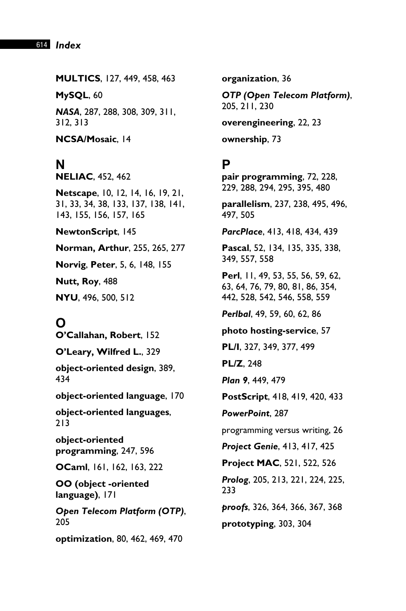**MULTICS**, 127, 449, 458, 463

**MySQL**, 60

*NASA*, 287, 288, 308, 309, 311, 312, 313

**NCSA/Mosaic**, 14

## **N**

**NELIAC**, 452, 462

**Netscape**, 10, 12, 14, 16, 19, 21, 31, 33, 34, 38, 133, 137, 138, 141, 143, 155, 156, 157, 165

**NewtonScript**, 145

**Norman, Arthur**, 255, 265, 277

**Norvig**, **Peter**, 5, 6, 148, 155

**Nutt, Roy**, 488

**NYU**, 496, 500, 512

**O**

**O'Callahan, Robert**, 152

**O'Leary, Wilfred L.**, 329

**object-oriented design**, 389, 434

**object-oriented language**, 170

**object-oriented languages**, 213

**object-oriented programming**, 247, 596

**OCaml**, 161, 162, 163, 222

**OO (object -oriented language)**, 171

*Open Telecom Platform (OTP)*, 205

**optimization**, 80, 462, 469, 470

**organization**, 36

*OTP (Open Telecom Platform)*, 205, 211, 230

**overengineering**, 22, 23

**ownership**, 73

## **P**

**pair programming**, 72, 228, 229, 288, 294, 295, 395, 480

**parallelism**, 237, 238, 495, 496, 497, 505

*ParcPlace*, 413, 418, 434, 439

**Pascal**, 52, 134, 135, 335, 338, 349, 557, 558

**Perl**, 11, 49, 53, 55, 56, 59, 62, 63, 64, 76, 79, 80, 81, 86, 354, 442, 528, 542, 546, 558, 559

*Perlbal*, 49, 59, 60, 62, 86

**photo hosting-service**, 57

**PL/I**, 327, 349, 377, 499

**PL/Z**, 248

*Plan 9*, 449, 479

**PostScript**, 418, 419, 420, 433

*PowerPoint*, 287

programming versus writing, 26

*Project Genie*, 413, 417, 425

**Project MAC**, 521, 522, 526

*Prolog*, 205, 213, 221, 224, 225, 233

*proofs*, 326, 364, 366, 367, 368

**prototyping**, 303, 304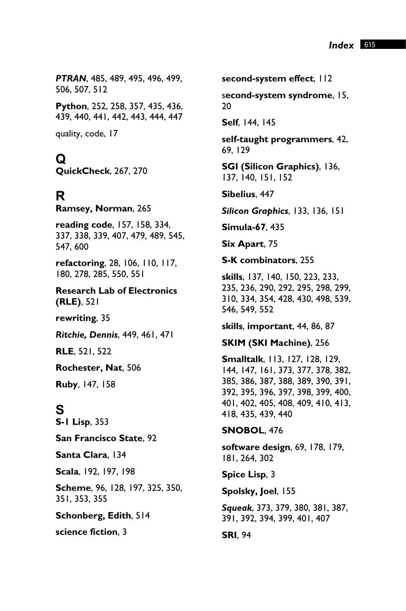*PTRAN*, 485, 489, 495, 496, 499, 506, 507, 512

**Python**, 252, 258, 357, 435, 436, 439, 440, 441, 442, 443, 444, 447

quality, code, 17

**Q QuickCheck**, 267, 270

**R Ramsey, Norman**, 265

**reading code**, 157, 158, 334, 337, 338, 339, 407, 479, 489, 545, 547, 600

**refactoring**, 28, 106, 110, 117, 180, 278, 285, 550, 551

**Research Lab of Electronics (RLE)**, 521

**rewriting**, 35

*Ritchie, Dennis*, 449, 461, 471

**RLE**, 521, 522

**Rochester, Nat**, 506

**Ruby**, 147, 158

**S S-1 Lisp**, 353

**San Francisco State**, 92

**Santa Clara**, 134

**Scala**, 192, 197, 198

**Scheme**, 96, 128, 197, 325, 350, 351, 353, 355

**Schonberg, Edith**, 514

**science fiction**, 3

**second-system effect**, 112

s**econd-system syndrome**, 15, 20

**Self**, 144, 145

**self-taught programmers**, 42, 69, 129

**SGI (Silicon Graphics)**, 136, 137, 140, 151, 152

**Sibelius**, 447

*Silicon Graphics*, 133, 136, 151

**Simula-67**, 435

**Six Apart**, 75

**S-K combinators**, 255

**skills**, 137, 140, 150, 223, 233, 235, 236, 290, 292, 295, 298, 299, 310, 334, 354, 428, 430, 498, 539, 546, 549, 552

**skills**, **important**, 44, 86, 87

**SKIM (SKI Machine)**, 256

**Smalltalk**, 113, 127, 128, 129, 144, 147, 161, 373, 377, 378, 382, 385, 386, 387, 388, 389, 390, 391, 392, 395, 396, 397, 398, 399, 400, 401, 402, 405, 408, 409, 410, 413, 418, 435, 439, 440

**SNOBOL**, 476

**software design**, 69, 178, 179, 181, 264, 302

**Spice Lisp**, 3

**Spolsky, Joel**, 155

*Squeak*, 373, 379, 380, 381, 387, 391, 392, 394, 399, 401, 407

**SRI**, 94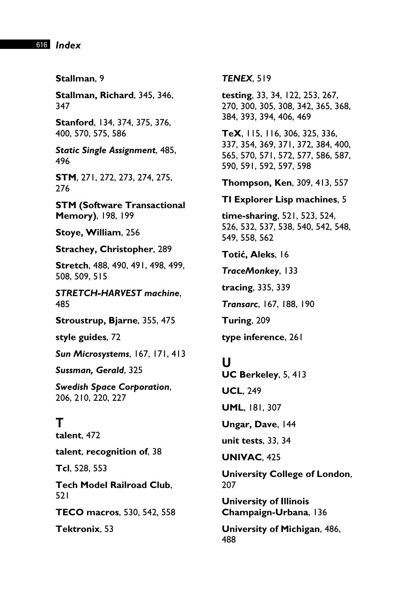616 *Index* 

**Stallman**, 9

**Stallman, Richard**, 345, 346, 347

**Stanford**, 134, 374, 375, 376, 400, 570, 575, 586

*Static Single Assignment*, 485, 496

**STM**, 271, 272, 273, 274, 275, 276

**STM (Software Transactional Memory)**, 198, 199

**Stoye, William**, 256

**Strachey, Christopher**, 289

**Stretch**, 488, 490, 491, 498, 499, 508, 509, 515

*STRETCH-HARVEST machine*, 485

**Stroustrup, Bjarne**, 355, 475

**style guides**, 72

*Sun Microsystems*, 167, 171, 413

*Sussman, Gerald*, 325

*Swedish Space Corporation*, 206, 210, 220, 227

## **T**

**talent**, 472

**talent**, **recognition of**, 38

**Tcl**, 528, 553

**Tech Model Railroad Club**, 521

**TECO macros**, 530, 542, 558

**Tektronix**, 53

*TENEX*, 519

**testing**, 33, 34, 122, 253, 267, 270, 300, 305, 308, 342, 365, 368, 384, 393, 394, 406, 469

**TeX**, 115, 116, 306, 325, 336, 337, 354, 369, 371, 372, 384, 400, 565, 570, 571, 572, 577, 586, 587, 590, 591, 592, 597, 598

**Thompson, Ken**, 309, 413, 557

#### **TI Explorer Lisp machines**, 5

**time-sharing**, 521, 523, 524, 526, 532, 537, 538, 540, 542, 548, 549, 558, 562

**Totiý, Aleks**, 16

*TraceMonkey*, 133

**tracing**, 335, 339

*Transarc*, 167, 188, 190

**Turing**, 209

**type inference**, 261

#### **U**

**UC Berkeley**, 5, 413 **UCL**, 249 **UML**, 181, 307

**Ungar, Dave**, 144

**unit tests**, 33, 34

**UNIVAC**, 425

**University College of London**, 207

**University of Illinois Champaign-Urbana**, 136

**University of Michigan**, 486, 488